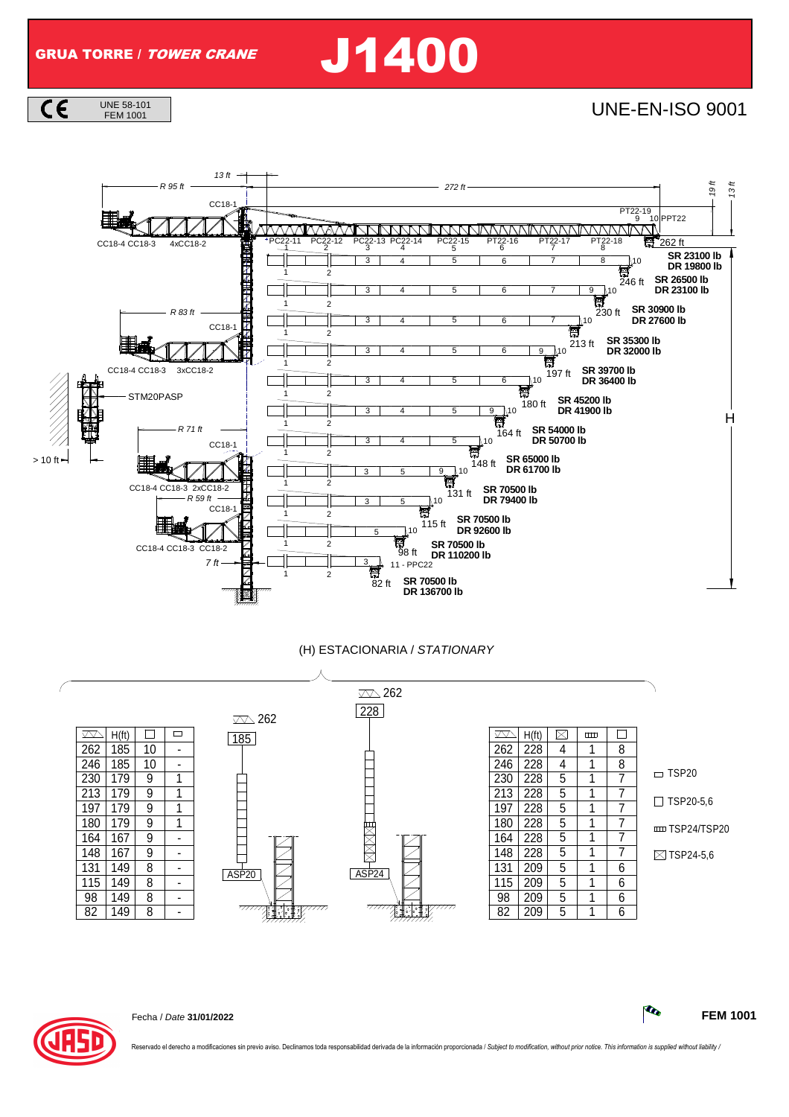GRUA TORRE / TOWER CRANE J1400

 $C \in$ UNE 58-101<br>FEM 1001 **UNE-EN-ISO 9001** 



## (H) ESTACIONARIA / STATIONARY





Fecha / Date **31/01/2022 FEM 1001**

rvado el derecho a modificaciones sin previo aviso. Declinamos toda responsabilidad derivada de la información proporcionada / Subject to modification, without prior notice. This information is supplied without liability /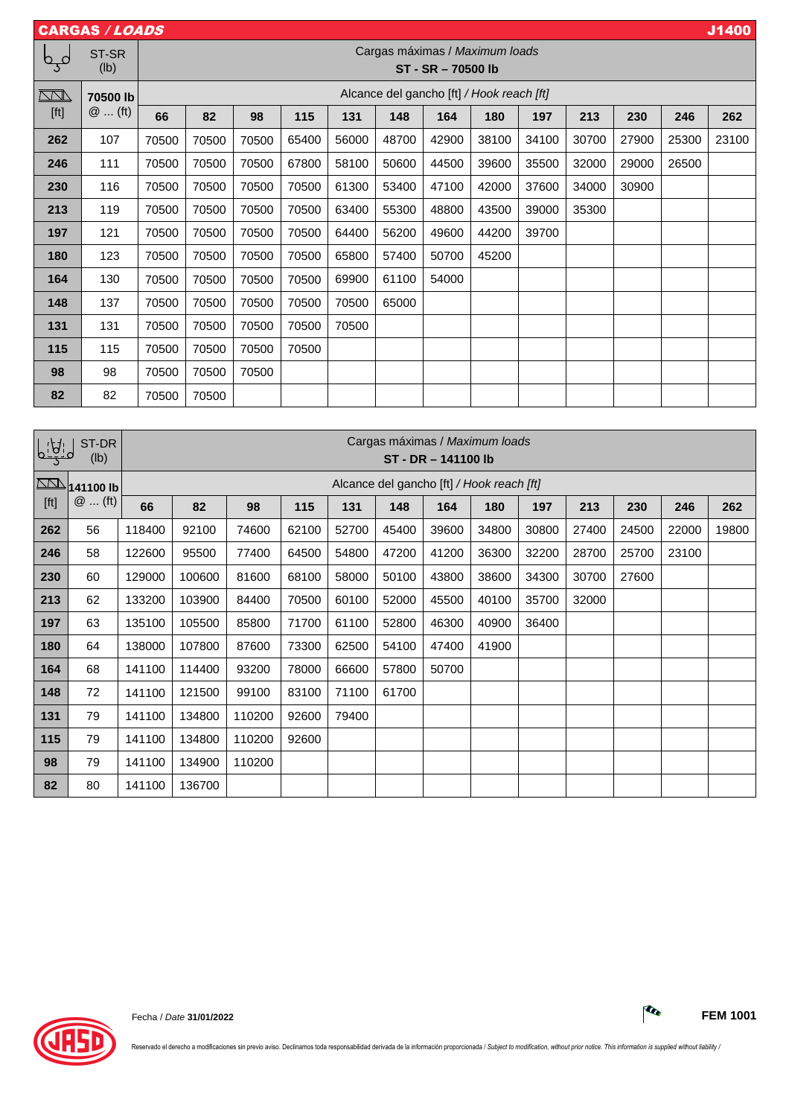|      | <b>CARGAS / LOADS</b> |       |                                                      |       |       |       |       |       |       |       |       |       |       | J1400 |
|------|-----------------------|-------|------------------------------------------------------|-------|-------|-------|-------|-------|-------|-------|-------|-------|-------|-------|
| فہم  | ST-SR<br>(lb)         |       | Cargas máximas / Maximum loads<br>ST - SR - 70500 lb |       |       |       |       |       |       |       |       |       |       |       |
|      | 70500 lb              |       | Alcance del gancho [ft] / Hook reach [ft]            |       |       |       |       |       |       |       |       |       |       |       |
| [ft] | $@$ (ft)              | 66    | 82                                                   | 98    | 115   | 131   | 148   | 164   | 180   | 197   | 213   | 230   | 246   | 262   |
| 262  | 107                   | 70500 | 70500                                                | 70500 | 65400 | 56000 | 48700 | 42900 | 38100 | 34100 | 30700 | 27900 | 25300 | 23100 |
| 246  | 111                   | 70500 | 70500                                                | 70500 | 67800 | 58100 | 50600 | 44500 | 39600 | 35500 | 32000 | 29000 | 26500 |       |
| 230  | 116                   | 70500 | 70500                                                | 70500 | 70500 | 61300 | 53400 | 47100 | 42000 | 37600 | 34000 | 30900 |       |       |
| 213  | 119                   | 70500 | 70500                                                | 70500 | 70500 | 63400 | 55300 | 48800 | 43500 | 39000 | 35300 |       |       |       |
| 197  | 121                   | 70500 | 70500                                                | 70500 | 70500 | 64400 | 56200 | 49600 | 44200 | 39700 |       |       |       |       |
| 180  | 123                   | 70500 | 70500                                                | 70500 | 70500 | 65800 | 57400 | 50700 | 45200 |       |       |       |       |       |
| 164  | 130                   | 70500 | 70500                                                | 70500 | 70500 | 69900 | 61100 | 54000 |       |       |       |       |       |       |
| 148  | 137                   | 70500 | 70500                                                | 70500 | 70500 | 70500 | 65000 |       |       |       |       |       |       |       |
| 131  | 131                   | 70500 | 70500                                                | 70500 | 70500 | 70500 |       |       |       |       |       |       |       |       |
| 115  | 115                   | 70500 | 70500                                                | 70500 | 70500 |       |       |       |       |       |       |       |       |       |
| 98   | 98                    | 70500 | 70500                                                | 70500 |       |       |       |       |       |       |       |       |       |       |
| 82   | 82                    | 70500 | 70500                                                |       |       |       |       |       |       |       |       |       |       |       |

| $\sqrt{77}$ | ST-DR<br>(lb) |        | Cargas máximas / Maximum loads<br>ST - DR - 141100 lb |        |       |       |       |       |       |       |       |       |       |       |
|-------------|---------------|--------|-------------------------------------------------------|--------|-------|-------|-------|-------|-------|-------|-------|-------|-------|-------|
| $\Box$      | 141100 lb     |        | Alcance del gancho [ft] / Hook reach [ft]             |        |       |       |       |       |       |       |       |       |       |       |
| [ft]        | $@$ (ft)      | 66     | 82                                                    | 98     | 115   | 131   | 148   | 164   | 180   | 197   | 213   | 230   | 246   | 262   |
| 262         | 56            | 118400 | 92100                                                 | 74600  | 62100 | 52700 | 45400 | 39600 | 34800 | 30800 | 27400 | 24500 | 22000 | 19800 |
| 246         | 58            | 122600 | 95500                                                 | 77400  | 64500 | 54800 | 47200 | 41200 | 36300 | 32200 | 28700 | 25700 | 23100 |       |
| 230         | 60            | 129000 | 100600                                                | 81600  | 68100 | 58000 | 50100 | 43800 | 38600 | 34300 | 30700 | 27600 |       |       |
| 213         | 62            | 133200 | 103900                                                | 84400  | 70500 | 60100 | 52000 | 45500 | 40100 | 35700 | 32000 |       |       |       |
| 197         | 63            | 135100 | 105500                                                | 85800  | 71700 | 61100 | 52800 | 46300 | 40900 | 36400 |       |       |       |       |
| 180         | 64            | 138000 | 107800                                                | 87600  | 73300 | 62500 | 54100 | 47400 | 41900 |       |       |       |       |       |
| 164         | 68            | 141100 | 114400                                                | 93200  | 78000 | 66600 | 57800 | 50700 |       |       |       |       |       |       |
| 148         | 72            | 141100 | 121500                                                | 99100  | 83100 | 71100 | 61700 | –     |       |       |       |       |       |       |
| 131         | 79            | 141100 | 134800                                                | 110200 | 92600 | 79400 |       |       |       |       |       |       |       |       |
| 115         | 79            | 141100 | 134800                                                | 110200 | 92600 |       |       |       |       |       |       |       |       |       |
| 98          | 79            | 141100 | 134900                                                | 110200 |       |       |       |       |       |       |       |       |       |       |
| 82          | 80            | 141100 | 136700                                                |        |       |       |       |       |       |       |       |       |       |       |



Reservado el derecho a modificaciones sin previo aviso. Declinamos toda responsabilidad derivada de la información proporcionada / Subject to modification, without prior notice. This information is supplied without liabili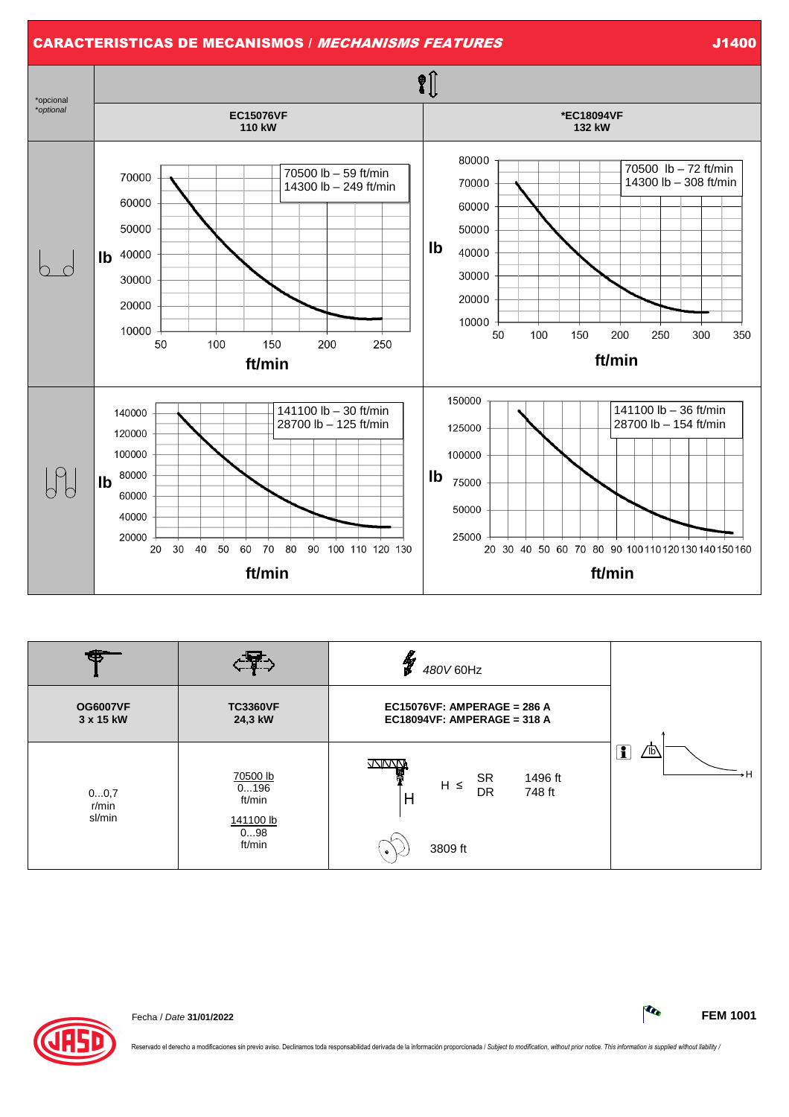

| sa                           |                                                          | Y<br>480V 60Hz                                                                              |                              |
|------------------------------|----------------------------------------------------------|---------------------------------------------------------------------------------------------|------------------------------|
| <b>OG6007VF</b><br>3 x 15 kW | <b>TC3360VF</b><br>24,3 kW                               | EC15076VF: AMPERAGE = 286 A<br>EC18094VF: AMPERAGE = 318 A                                  |                              |
| 00,7<br>r/min<br>sl/min      | 70500 lb<br>0196<br>ft/min<br>141100 lb<br>098<br>ft/min | WWW<br><b>SR</b><br>1496 ft<br>$H \leq$<br><b>DR</b><br>748 ft<br>H<br>3809 ft<br>$\bullet$ | $\overline{\mathbf{1}}$<br>⋒ |



Fecha / Date **31/01/2022 FEM 1001**

Reservado el derecho a modificaciones sin previo aviso. Declinamos toda responsabilidad derivada de la información proporcionada / Subject to modification, without prior notice. This information is supplied without liabili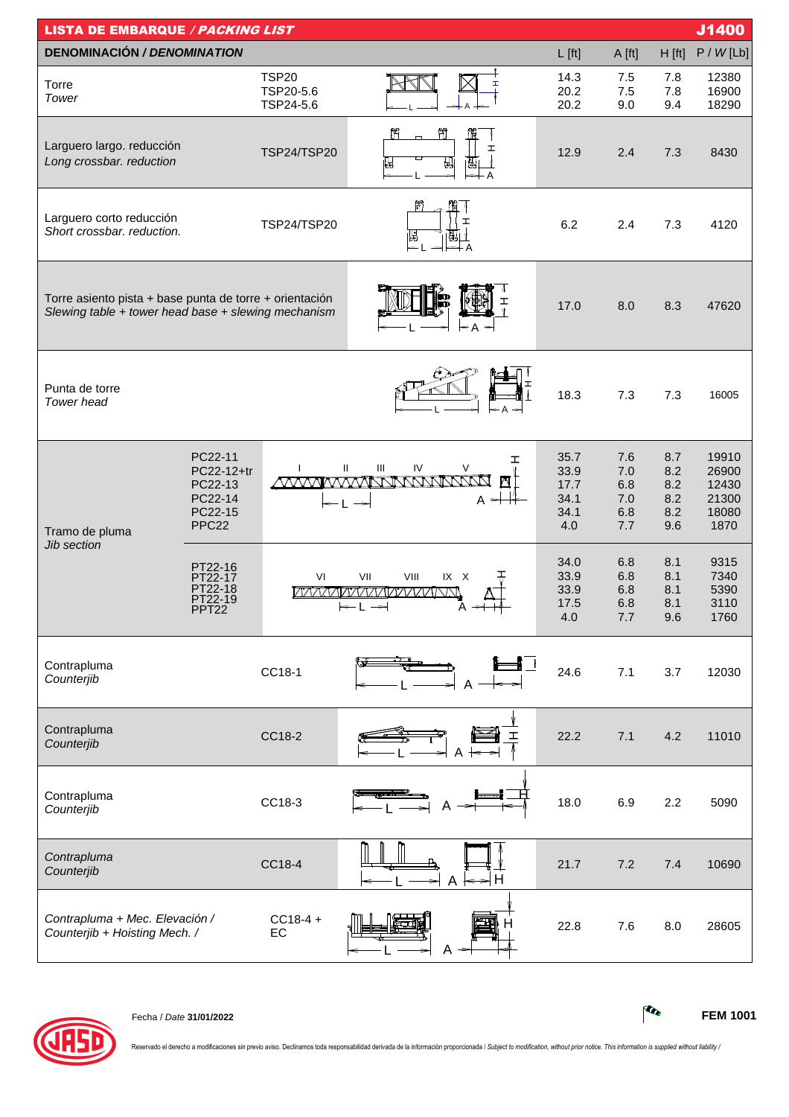| J1400<br><b>LISTA DE EMBARQUE / PACKING LIST</b>                                                               |                                                                             |                                                         |                                                                                                                                    |                                             |                                        |                                        |                                                   |  |
|----------------------------------------------------------------------------------------------------------------|-----------------------------------------------------------------------------|---------------------------------------------------------|------------------------------------------------------------------------------------------------------------------------------------|---------------------------------------------|----------------------------------------|----------------------------------------|---------------------------------------------------|--|
| <b>DENOMINACIÓN / DENOMINATION</b>                                                                             |                                                                             |                                                         |                                                                                                                                    | $L$ [ft]                                    | A [ft]                                 | H [ft]                                 | P / W [Lb]                                        |  |
| Torre<br>Tower                                                                                                 |                                                                             | <b>TSP20</b><br>TSP20-5.6<br>TSP24-5.6                  |                                                                                                                                    | 14.3<br>20.2<br>20.2                        | 7.5<br>7.5<br>9.0                      | 7.8<br>7.8<br>9.4                      | 12380<br>16900<br>18290                           |  |
| Larguero largo. reducción<br>Long crossbar. reduction                                                          |                                                                             | $^{\circ}$<br>ľ۳<br>I<br><b>TSP24/TSP20</b><br>H<br>IJd |                                                                                                                                    | 12.9                                        | 2.4                                    | 7.3                                    | 8430                                              |  |
| Larguero corto reducción<br>Short crossbar. reduction.                                                         |                                                                             | I<br>TSP24/TSP20<br>閲.<br>喎<br>⇒⊢⇔⊢A                    |                                                                                                                                    | 6.2                                         | 2.4                                    | 7.3                                    | 4120                                              |  |
| Torre asiento pista + base punta de torre + orientación<br>Slewing table + tower head base + slewing mechanism |                                                                             |                                                         |                                                                                                                                    | 17.0                                        | 8.0                                    | 8.3                                    | 47620                                             |  |
| Punta de torre<br>Tower head                                                                                   |                                                                             |                                                         |                                                                                                                                    | 18.3                                        | 7.3                                    | 7.3                                    | 16005                                             |  |
| Tramo de pluma                                                                                                 | PC22-11<br>PC22-12+tr<br>PC22-13<br>PC22-14<br>PC22-15<br>PPC <sub>22</sub> |                                                         | ェ<br>$\ensuremath{\mathsf{III}}\xspace$<br>${\sf IV}$<br>$\mathbf{II}$<br>V<br><u>MWWWWANANWWWWW</u><br>A <del>&gt;⊟</del><br>ll → | 35.7<br>33.9<br>17.7<br>34.1<br>34.1<br>4.0 | 7.6<br>7.0<br>6.8<br>7.0<br>6.8<br>7.7 | 8.7<br>8.2<br>8.2<br>8.2<br>8.2<br>9.6 | 19910<br>26900<br>12430<br>21300<br>18080<br>1870 |  |
| Jib section                                                                                                    | PT22-16<br>PT22-17<br>PT22-18<br>PT22-19<br>PPT <sub>22</sub>               | VI                                                      | I<br>VII<br>VIII<br>IX X<br><i>VAAMAAAAAAAAAA</i> AA                                                                               | 34.0<br>33.9<br>33.9<br>17.5<br>$4.0$       | 6.8<br>6.8<br>6.8<br>6.8<br>7.7        | 8.1<br>8.1<br>8.1<br>8.1<br>9.6        | 9315<br>7340<br>5390<br>3110<br>1760              |  |
| Contrapluma<br>Counterjib                                                                                      |                                                                             | CC18-1                                                  | $\mathbf{I}$                                                                                                                       | 24.6                                        | 7.1                                    | 3.7                                    | 12030                                             |  |
| Contrapluma<br>Counterjib                                                                                      |                                                                             | CC18-2                                                  | ェ<br>A                                                                                                                             | 22.2                                        | 7.1                                    | 4.2                                    | 11010                                             |  |
| Contrapluma<br>Counterjib                                                                                      |                                                                             | CC18-3<br>Α                                             |                                                                                                                                    | 18.0                                        | 6.9                                    | 2.2                                    | 5090                                              |  |
| Contrapluma<br>Counterjib                                                                                      |                                                                             | CC18-4                                                  | н                                                                                                                                  | 21.7                                        | 7.2                                    | 7.4                                    | 10690                                             |  |
| Contrapluma + Mec. Elevación /<br>Counterjib + Hoisting Mech. /                                                |                                                                             | $CC18-4 +$<br>EC                                        | А                                                                                                                                  | 22.8                                        | 7.6                                    | 8.0                                    | 28605                                             |  |



Fecha / Date **31/01/2022 FEM 1001**

Reservado el derecho a modificaciones sin previo aviso. Declinamos toda responsabilidad derivada de la información proporcionada / Subject to modification, without prior notice. This information is supplied without liabili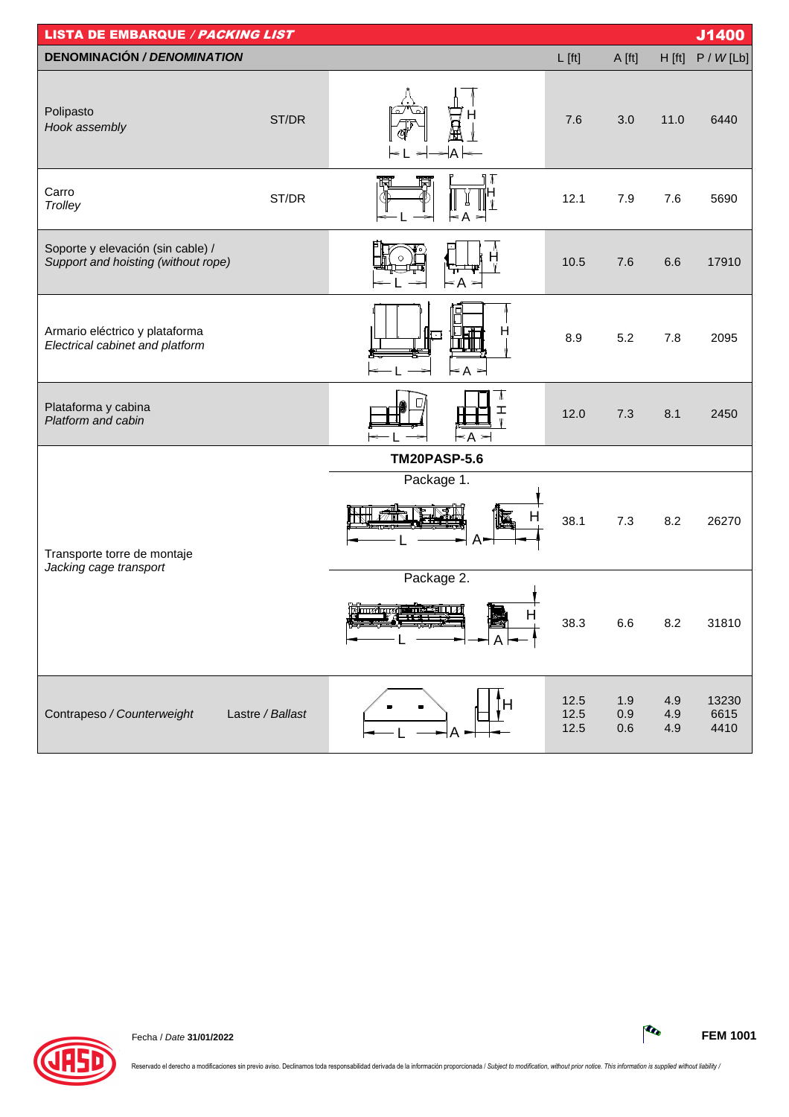| <b>LISTA DE EMBARQUE / PACKING LIST</b>                                  |                  |                                                        |                      |                   |                   | J1400                 |
|--------------------------------------------------------------------------|------------------|--------------------------------------------------------|----------------------|-------------------|-------------------|-----------------------|
| <b>DENOMINACIÓN / DENOMINATION</b>                                       |                  |                                                        | $L$ [ft]             | A [ft]            | H [ft]            | P / W [Lb]            |
| Polipasto<br>Hook assembly                                               | ST/DR            | $A \models$                                            | 7.6                  | 3.0               | 11.0              | 6440                  |
| Carro<br>Trolley                                                         | ST/DR            | Т<br>Α<br>∊<br>$\Rightarrow$                           | 12.1                 | 7.9               | 7.6               | 5690                  |
| Soporte y elevación (sin cable) /<br>Support and hoisting (without rope) |                  | $\leq A$                                               | 10.5                 | 7.6               | 6.6               | 17910                 |
| Armario eléctrico y plataforma<br>Electrical cabinet and platform        |                  | H<br>न<br>$\blacktriangleleft$ A $\blacktriangleright$ | 8.9                  | 5.2               | 7.8               | 2095                  |
| Plataforma y cabina<br>Platform and cabin                                |                  | Λ<br>ェ<br>$\leq$ A $\leq$                              | 12.0                 | 7.3               | 8.1               | 2450                  |
|                                                                          |                  | <b>TM20PASP-5.6</b>                                    |                      |                   |                   |                       |
| Transporte torre de montaje<br>Jacking cage transport                    |                  | Package 1.<br>п<br>$A-$                                | 38.1                 | 7.3               | 8.2               | 26270                 |
|                                                                          |                  | Package 2.<br><u>Amalyygine ilikki</u>                 | 38.3                 | 6.6               | 8.2               | 31810                 |
| Contrapeso / Counterweight                                               | Lastre / Ballast |                                                        | 12.5<br>12.5<br>12.5 | 1.9<br>0.9<br>0.6 | 4.9<br>4.9<br>4.9 | 13230<br>6615<br>4410 |